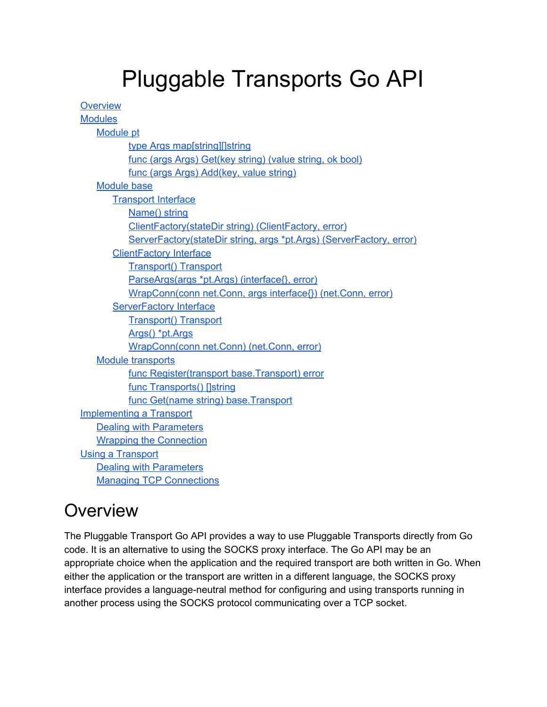# Pluggable Transports Go API

| <b>Overview</b>                                                      |
|----------------------------------------------------------------------|
| <b>Modules</b>                                                       |
| <b>Module pt</b>                                                     |
| type Args map[string][]string                                        |
| func (args Args) Get(key string) (value string, ok bool)             |
| func (args Args) Add(key, value string)                              |
| <b>Module base</b>                                                   |
| <b>Transport Interface</b>                                           |
| Name() string                                                        |
| ClientFactory(stateDir string) (ClientFactory, error)                |
| ServerFactory(stateDir string, args *pt.Args) (ServerFactory, error) |
| <b>ClientFactory Interface</b>                                       |
| <b>Transport() Transport</b>                                         |
| ParseArgs(args *pt.Args) (interface{}, error)                        |
| WrapConn(conn net.Conn, args interface{}) (net.Conn, error)          |
| <b>ServerFactory Interface</b>                                       |
| <b>Transport() Transport</b>                                         |
| Args() *pt.Args                                                      |
| WrapConn(conn net.Conn) (net.Conn, error)                            |
| <b>Module transports</b>                                             |
| func Register(transport base.Transport) error                        |
| func Transports() []string                                           |
| func Get(name string) base.Transport                                 |
| <b>Implementing a Transport</b>                                      |
| <b>Dealing with Parameters</b>                                       |
| <b>Wrapping the Connection</b>                                       |
| <b>Using a Transport</b>                                             |
| <b>Dealing with Parameters</b>                                       |
| <b>Managing TCP Connections</b>                                      |

## <span id="page-0-0"></span>**Overview**

The Pluggable Transport Go API provides a way to use Pluggable Transports directly from Go code. It is an alternative to using the SOCKS proxy interface. The Go API may be an appropriate choice when the application and the required transport are both written in Go. When either the application or the transport are written in a different language, the SOCKS proxy interface provides a language-neutral method for configuring and using transports running in another process using the SOCKS protocol communicating over a TCP socket.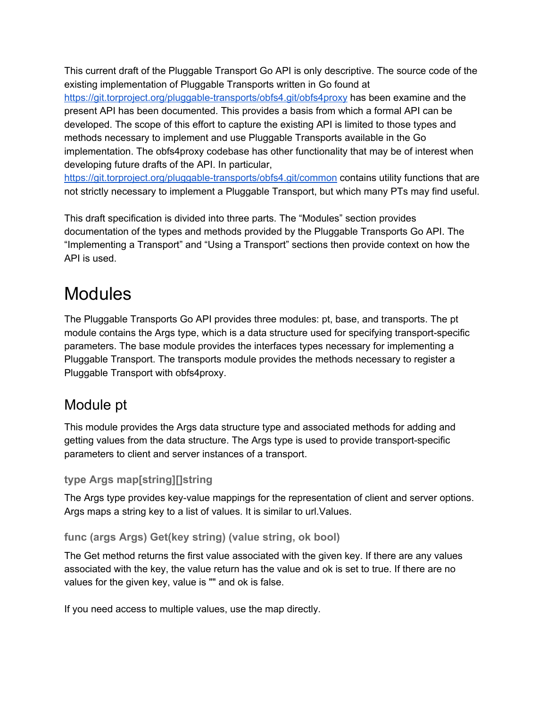This current draft of the Pluggable Transport Go API is only descriptive. The source code of the existing implementation of Pluggable Transports written in Go found at

https://git.torproject.org/pluggable-transports/obfs4.git/obfs4proxy has been examine and the present API has been documented. This provides a basis from which a formal API can be developed. The scope of this effort to capture the existing API is limited to those types and methods necessary to implement and use Pluggable Transports available in the Go implementation. The obfs4proxy codebase has other functionality that may be of interest when developing future drafts of the API. In particular,

https://git.torproject.org/pluggable-transports/obfs4.git/common contains utility functions that are not strictly necessary to implement a Pluggable Transport, but which many PTs may find useful.

This draft specification is divided into three parts. The "Modules" section provides documentation of the types and methods provided by the Pluggable Transports Go API. The "Implementing a Transport" and "Using a Transport" sections then provide context on how the API is used.

## <span id="page-1-0"></span>Modules

The Pluggable Transports Go API provides three modules: pt, base, and transports. The pt module contains the Args type, which is a data structure used for specifying transport-specific parameters. The base module provides the interfaces types necessary for implementing a Pluggable Transport. The transports module provides the methods necessary to register a Pluggable Transport with obfs4proxy.

### <span id="page-1-1"></span>Module pt

This module provides the Args data structure type and associated methods for adding and getting values from the data structure. The Args type is used to provide transport-specific parameters to client and server instances of a transport.

#### <span id="page-1-2"></span>**type Args map[string][]string**

The Args type provides key-value mappings for the representation of client and server options. Args maps a string key to a list of values. It is similar to url.Values.

#### <span id="page-1-3"></span>**func (args Args) Get(key string) (value string, ok bool)**

The Get method returns the first value associated with the given key. If there are any values associated with the key, the value return has the value and ok is set to true. If there are no values for the given key, value is "" and ok is false.

If you need access to multiple values, use the map directly.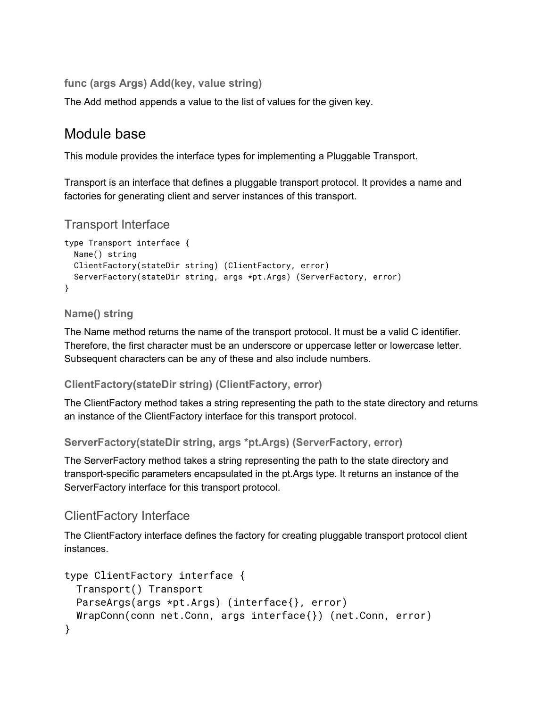<span id="page-2-0"></span>**func (args Args) Add(key, value string)**

<span id="page-2-1"></span>The Add method appends a value to the list of values for the given key.

### Module base

This module provides the interface types for implementing a Pluggable Transport.

Transport is an interface that defines a pluggable transport protocol. It provides a name and factories for generating client and server instances of this transport.

#### <span id="page-2-2"></span>Transport Interface

```
type Transport interface {
 Name() string
 ClientFactory(stateDir string) (ClientFactory, error)
 ServerFactory(stateDir string, args *pt.Args) (ServerFactory, error)
}
```
#### <span id="page-2-3"></span>**Name() string**

The Name method returns the name of the transport protocol. It must be a valid C identifier. Therefore, the first character must be an underscore or uppercase letter or lowercase letter. Subsequent characters can be any of these and also include numbers.

#### <span id="page-2-4"></span>**ClientFactory(stateDir string) (ClientFactory, error)**

The ClientFactory method takes a string representing the path to the state directory and returns an instance of the ClientFactory interface for this transport protocol.

<span id="page-2-5"></span>**ServerFactory(stateDir string, args \*pt.Args) (ServerFactory, error)**

The ServerFactory method takes a string representing the path to the state directory and transport-specific parameters encapsulated in the pt.Args type. It returns an instance of the ServerFactory interface for this transport protocol.

#### <span id="page-2-6"></span>ClientFactory Interface

The ClientFactory interface defines the factory for creating pluggable transport protocol client instances.

```
type ClientFactory interface {
 Transport() Transport
 ParseArgs(args *pt.Args) (interface{}, error)
 WrapConn(conn net.Conn, args interface{}) (net.Conn, error)
}
```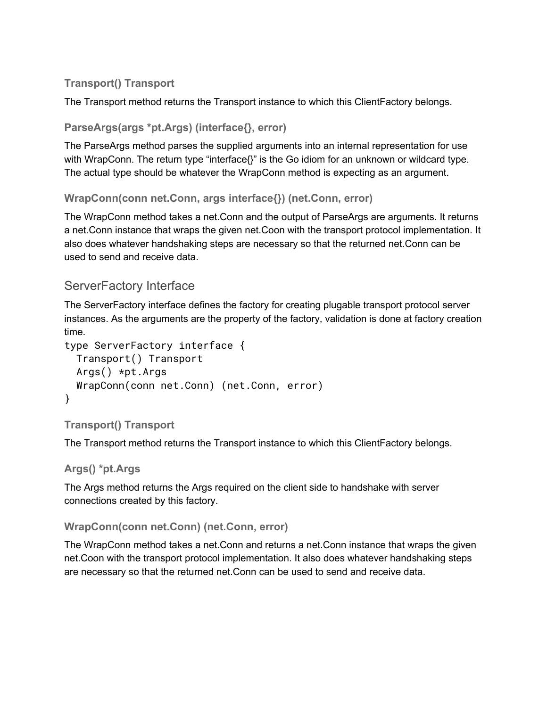#### <span id="page-3-0"></span>**Transport() Transport**

<span id="page-3-1"></span>The Transport method returns the Transport instance to which this ClientFactory belongs.

#### **ParseArgs(args \*pt.Args) (interface{}, error)**

The ParseArgs method parses the supplied arguments into an internal representation for use with WrapConn. The return type "interface{}" is the Go idiom for an unknown or wildcard type. The actual type should be whatever the WrapConn method is expecting as an argument.

#### <span id="page-3-2"></span>**WrapConn(conn net.Conn, args interface{}) (net.Conn, error)**

The WrapConn method takes a net.Conn and the output of ParseArgs are arguments. It returns a net.Conn instance that wraps the given net.Coon with the transport protocol implementation. It also does whatever handshaking steps are necessary so that the returned net.Conn can be used to send and receive data.

#### <span id="page-3-3"></span>ServerFactory Interface

The ServerFactory interface defines the factory for creating plugable transport protocol server instances. As the arguments are the property of the factory, validation is done at factory creation time.

```
type ServerFactory interface {
 Transport() Transport
 Args() *pt.Args
 WrapConn(conn net.Conn) (net.Conn, error)
}
```
#### <span id="page-3-4"></span>**Transport() Transport**

<span id="page-3-5"></span>The Transport method returns the Transport instance to which this ClientFactory belongs.

#### **Args() \*pt.Args**

The Args method returns the Args required on the client side to handshake with server connections created by this factory.

#### <span id="page-3-6"></span>**WrapConn(conn net.Conn) (net.Conn, error)**

The WrapConn method takes a net.Conn and returns a net.Conn instance that wraps the given net.Coon with the transport protocol implementation. It also does whatever handshaking steps are necessary so that the returned net.Conn can be used to send and receive data.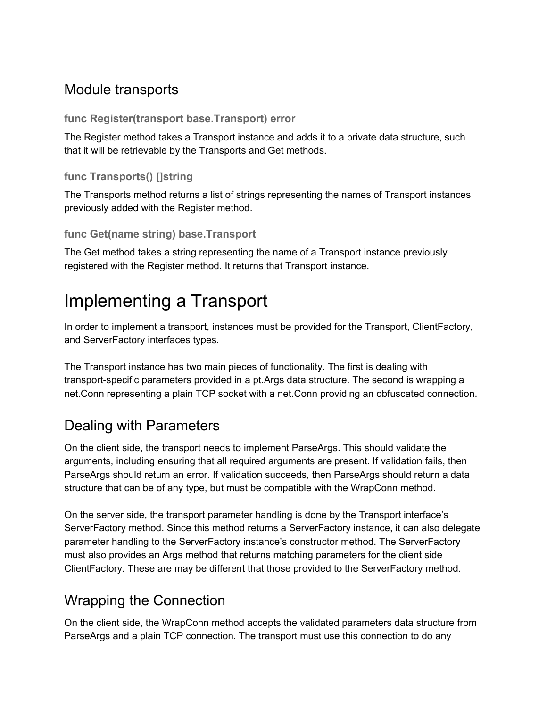### <span id="page-4-0"></span>Module transports

#### <span id="page-4-1"></span>**func Register(transport base.Transport) error**

The Register method takes a Transport instance and adds it to a private data structure, such that it will be retrievable by the Transports and Get methods.

#### <span id="page-4-2"></span>**func Transports() []string**

The Transports method returns a list of strings representing the names of Transport instances previously added with the Register method.

#### <span id="page-4-3"></span>**func Get(name string) base.Transport**

The Get method takes a string representing the name of a Transport instance previously registered with the Register method. It returns that Transport instance.

## <span id="page-4-4"></span>Implementing a Transport

In order to implement a transport, instances must be provided for the Transport, ClientFactory, and ServerFactory interfaces types.

The Transport instance has two main pieces of functionality. The first is dealing with transport-specific parameters provided in a pt. Args data structure. The second is wrapping a net.Conn representing a plain TCP socket with a net.Conn providing an obfuscated connection.

### <span id="page-4-5"></span>Dealing with Parameters

On the client side, the transport needs to implement ParseArgs. This should validate the arguments, including ensuring that all required arguments are present. If validation fails, then ParseArgs should return an error. If validation succeeds, then ParseArgs should return a data structure that can be of any type, but must be compatible with the WrapConn method.

On the server side, the transport parameter handling is done by the Transport interface's ServerFactory method. Since this method returns a ServerFactory instance, it can also delegate parameter handling to the ServerFactory instance's constructor method. The ServerFactory must also provides an Args method that returns matching parameters for the client side ClientFactory. These are may be different that those provided to the ServerFactory method.

## <span id="page-4-6"></span>Wrapping the Connection

On the client side, the WrapConn method accepts the validated parameters data structure from ParseArgs and a plain TCP connection. The transport must use this connection to do any